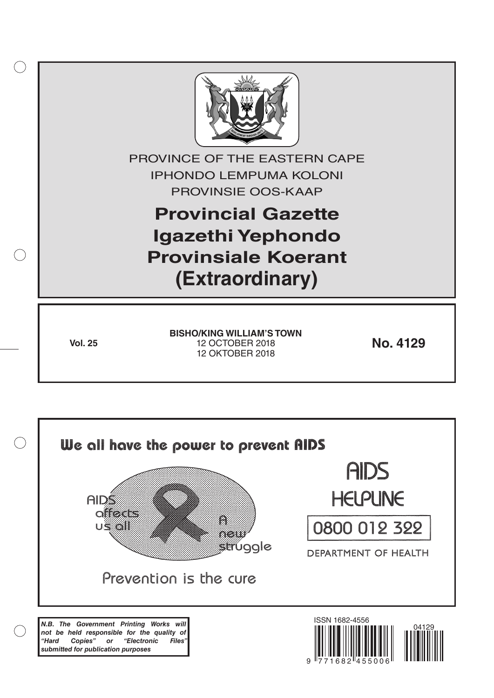

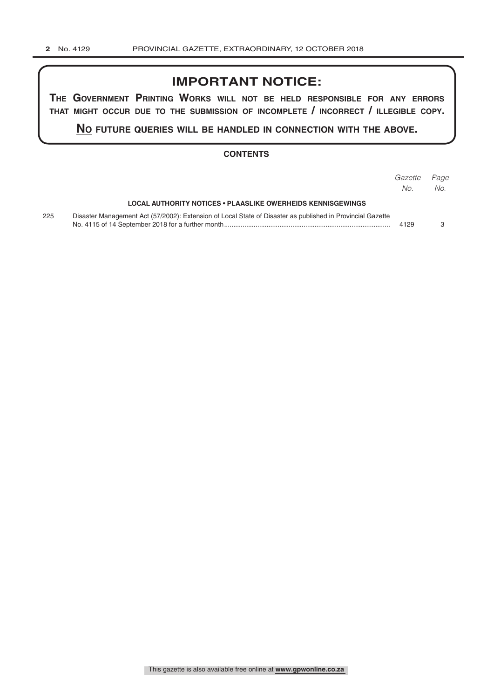# **IMPORTANT NOTICE:**

**The GovernmenT PrinTinG Works Will noT be held resPonsible for any errors ThaT miGhT occur due To The submission of incomPleTe / incorrecT / illeGible coPy.**

**no fuTure queries Will be handled in connecTion WiTh The above.**

#### **CONTENTS**

|     |                                                                                                            | Gazette<br>No. | Page<br>No. |
|-----|------------------------------------------------------------------------------------------------------------|----------------|-------------|
|     | LOCAL AUTHORITY NOTICES • PLAASLIKE OWERHEIDS KENNISGEWINGS                                                |                |             |
| 225 | Disaster Management Act (57/2002): Extension of Local State of Disaster as published in Provincial Gazette | 4129           |             |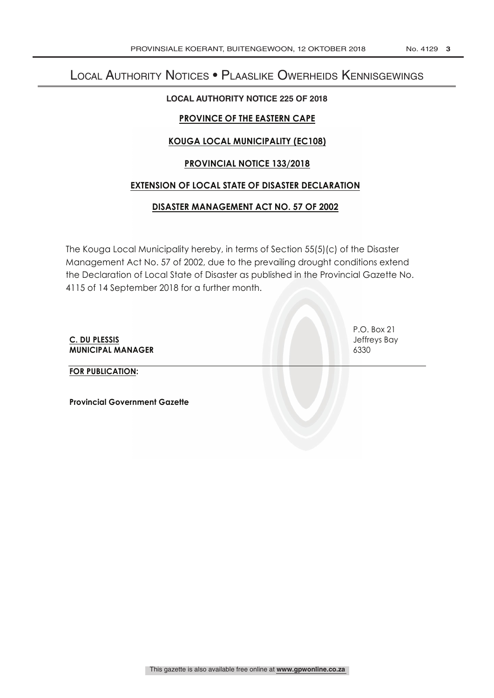# Local Authority Notices • Plaaslike Owerheids Kennisgewings

### **LOCAL AUTHORITY NOTICE 225 OF 2018**

# **PROVINCE OF THE EASTERN CAPE**

# **KOUGA LOCAL MUNICIPALITY (EC108)**

# **PROVINCIAL NOTICE 133/2018**

# **EXTENSION OF LOCAL STATE OF DISASTER DECLARATION**

# **DISASTER MANAGEMENT ACT NO. 57 OF 2002**

The Kouga Local Municipality hereby, in terms of Section 55(5)(c) of the Disaster Management Act No. 57 of 2002, due to the prevailing drought conditions extend the Declaration of Local State of Disaster as published in the Provincial Gazette No. 4115 of 14 September 2018 for a further month.

**C. DU PLESSIS** Jeffreys Bay **MUNICIPAL MANAGER** 6330

P.O. Box 21

**FOR PUBLICATION:**

**Provincial Government Gazette**